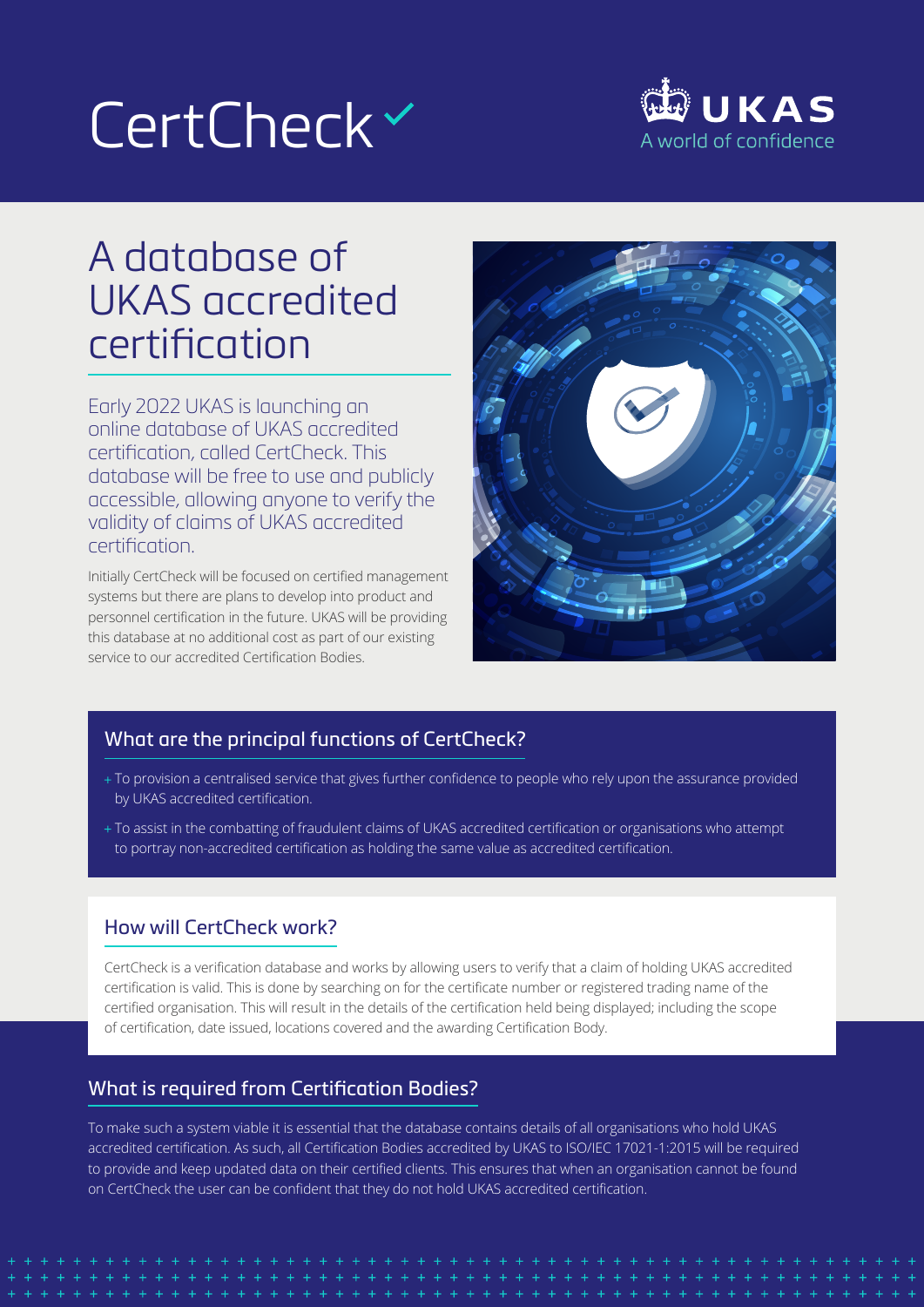# CertCheck<sup>~</sup>



# A database of UKAS accredited certification

Early 2022 UKAS is launching an online database of UKAS accredited certification, called CertCheck. This database will be free to use and publicly accessible, allowing anyone to verify the validity of claims of UKAS accredited certification.

Initially CertCheck will be focused on certified management systems but there are plans to develop into product and personnel certification in the future. UKAS will be providing this database at no additional cost as part of our existing service to our accredited Certification Bodies.



## What are the principal functions of CertCheck?

- + To provision a centralised service that gives further confidence to people who rely upon the assurance provided by UKAS accredited certification.
- To assist in the combatting of fraudulent claims of UKAS accredited certification or organisations who attempt to portray non-accredited certification as holding the same value as accredited certification.

### How will CertCheck work?

CertCheck is a verification database and works by allowing users to verify that a claim of holding UKAS accredited certification is valid. This is done by searching on for the certificate number or registered trading name of the certified organisation. This will result in the details of the certification held being displayed; including the scope of certification, date issued, locations covered and the awarding Certification Body.

### What is required from Certification Bodies?

To make such a system viable it is essential that the database contains details of all organisations who hold UKAS accredited certification. As such, all Certification Bodies accredited by UKAS to ISO/IEC 17021-1:2015 will be required to provide and keep updated data on their certified clients. This ensures that when an organisation cannot be found on CertCheck the user can be confident that they do not hold UKAS accredited certification.